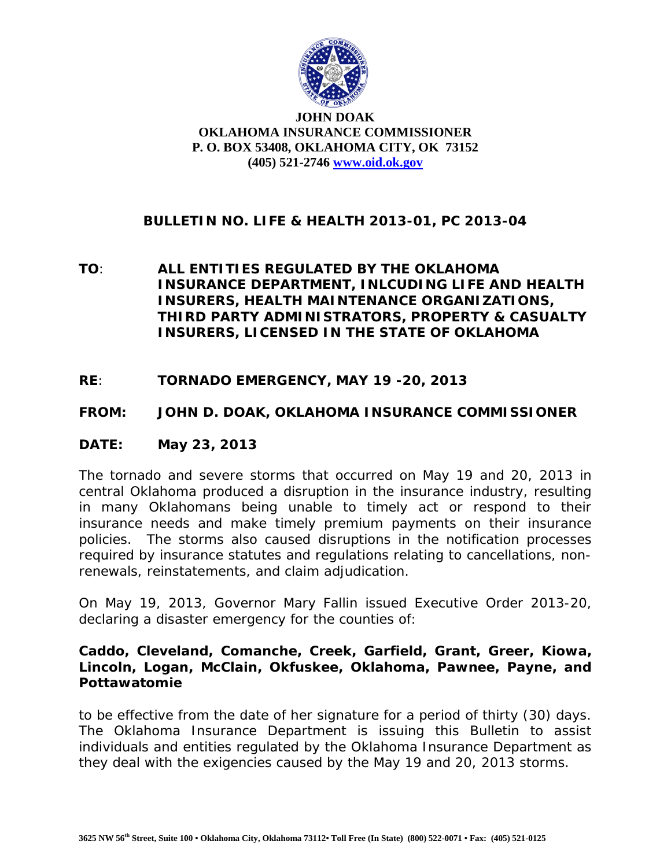

#### **JOHN DOAK OKLAHOMA INSURANCE COMMISSIONER P. O. BOX 53408, OKLAHOMA CITY, OK 73152 (405) 521-2746 [www.oid.ok.gov](http://www.oid.ok.gov/)**

# **BULLETIN NO. LIFE & HEALTH 2013-01, PC 2013-04**

- **TO**: **ALL ENTITIES REGULATED BY THE OKLAHOMA INSURANCE DEPARTMENT, INLCUDING LIFE AND HEALTH INSURERS, HEALTH MAINTENANCE ORGANIZATIONS, THIRD PARTY ADMINISTRATORS, PROPERTY & CASUALTY INSURERS, LICENSED IN THE STATE OF OKLAHOMA**
- **RE**: **TORNADO EMERGENCY, MAY 19 -20, 2013**

### **FROM: JOHN D. DOAK, OKLAHOMA INSURANCE COMMISSIONER**

#### **DATE: May 23, 2013**

The tornado and severe storms that occurred on May 19 and 20, 2013 in central Oklahoma produced a disruption in the insurance industry, resulting in many Oklahomans being unable to timely act or respond to their insurance needs and make timely premium payments on their insurance policies. The storms also caused disruptions in the notification processes required by insurance statutes and regulations relating to cancellations, nonrenewals, reinstatements, and claim adjudication.

On May 19, 2013, Governor Mary Fallin issued Executive Order 2013-20, declaring a disaster emergency for the counties of:

### **Caddo, Cleveland, Comanche, Creek, Garfield, Grant, Greer, Kiowa, Lincoln, Logan, McClain, Okfuskee, Oklahoma, Pawnee, Payne, and Pottawatomie**

to be effective from the date of her signature for a period of thirty (30) days. The Oklahoma Insurance Department is issuing this Bulletin to assist individuals and entities regulated by the Oklahoma Insurance Department as they deal with the exigencies caused by the May 19 and 20, 2013 storms.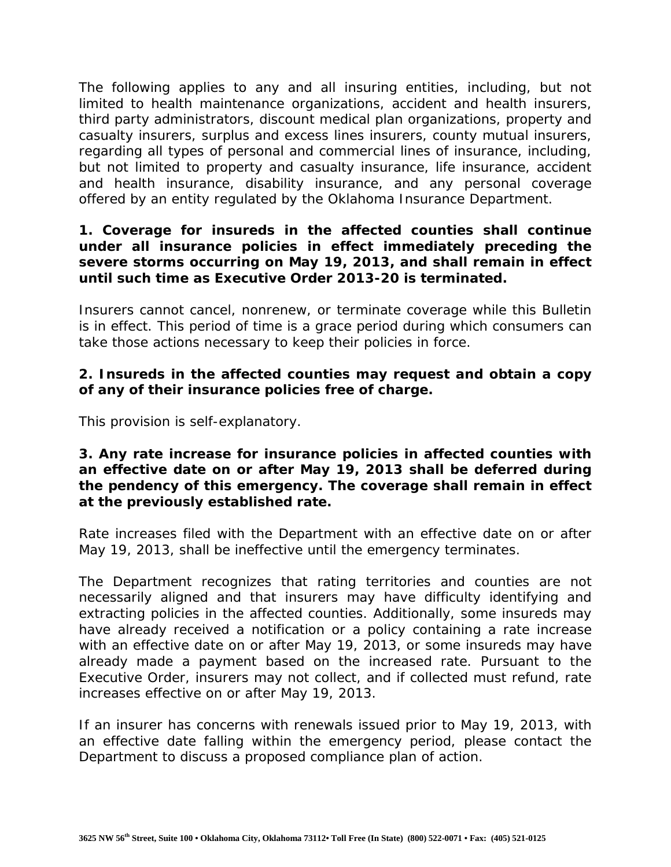The following applies to any and all insuring entities, including, but not limited to health maintenance organizations, accident and health insurers, third party administrators, discount medical plan organizations, property and casualty insurers, surplus and excess lines insurers, county mutual insurers, regarding all types of personal and commercial lines of insurance, including, but not limited to property and casualty insurance, life insurance, accident and health insurance, disability insurance, and any personal coverage offered by an entity regulated by the Oklahoma Insurance Department.

### **1. Coverage for insureds in the affected counties shall continue under all insurance policies in effect immediately preceding the severe storms occurring on May 19, 2013, and shall remain in effect until such time as Executive Order 2013-20 is terminated.**

Insurers cannot cancel, nonrenew, or terminate coverage while this Bulletin is in effect. This period of time is a grace period during which consumers can take those actions necessary to keep their policies in force.

# **2. Insureds in the affected counties may request and obtain a copy of any of their insurance policies free of charge.**

This provision is self-explanatory.

## **3. Any rate increase for insurance policies in affected counties with an effective date on or after May 19, 2013 shall be deferred during the pendency of this emergency. The coverage shall remain in effect at the previously established rate.**

Rate increases filed with the Department with an effective date on or after May 19, 2013, shall be ineffective until the emergency terminates.

The Department recognizes that rating territories and counties are not necessarily aligned and that insurers may have difficulty identifying and extracting policies in the affected counties. Additionally, some insureds may have already received a notification or a policy containing a rate increase with an effective date on or after May 19, 2013, or some insureds may have already made a payment based on the increased rate. Pursuant to the Executive Order, insurers may not collect, and if collected must refund, rate increases effective on or after May 19, 2013.

If an insurer has concerns with renewals issued prior to May 19, 2013, with an effective date falling within the emergency period, please contact the Department to discuss a proposed compliance plan of action.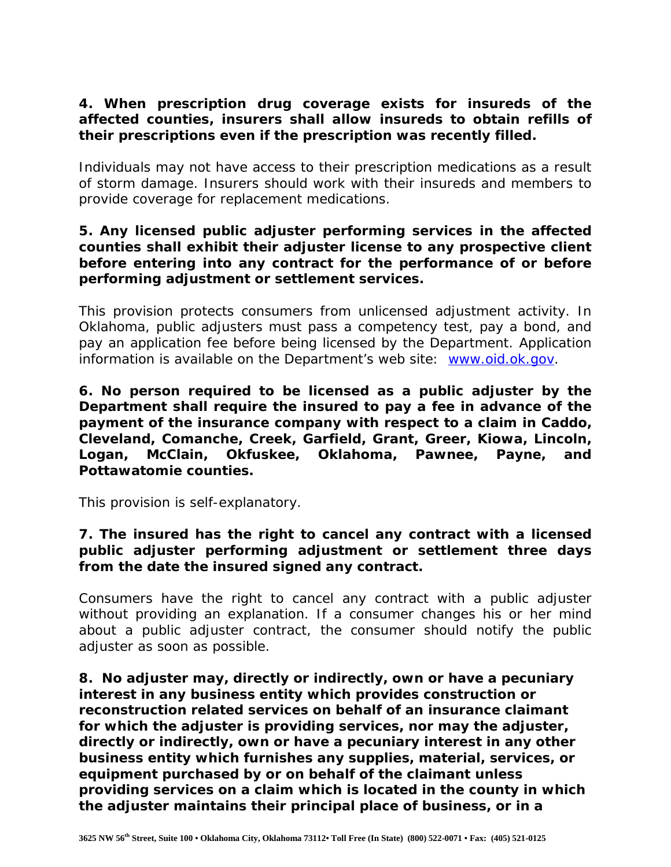# **4. When prescription drug coverage exists for insureds of the affected counties, insurers shall allow insureds to obtain refills of their prescriptions even if the prescription was recently filled.**

Individuals may not have access to their prescription medications as a result of storm damage. Insurers should work with their insureds and members to provide coverage for replacement medications.

## **5. Any licensed public adjuster performing services in the affected counties shall exhibit their adjuster license to any prospective client before entering into any contract for the performance of or before performing adjustment or settlement services.**

This provision protects consumers from unlicensed adjustment activity. In Oklahoma, public adjusters must pass a competency test, pay a bond, and pay an application fee before being licensed by the Department. Application information is available on the Department's web site: [www.oid.ok.gov.](http://www.oid.ok.gov/)

**6. No person required to be licensed as a public adjuster by the Department shall require the insured to pay a fee in advance of the payment of the insurance company with respect to a claim in Caddo, Cleveland, Comanche, Creek, Garfield, Grant, Greer, Kiowa, Lincoln, Logan, McClain, Okfuskee, Oklahoma, Pawnee, Payne, and Pottawatomie counties.** 

This provision is self-explanatory.

# **7. The insured has the right to cancel any contract with a licensed public adjuster performing adjustment or settlement three days from the date the insured signed any contract.**

Consumers have the right to cancel any contract with a public adjuster without providing an explanation. If a consumer changes his or her mind about a public adjuster contract, the consumer should notify the public adjuster as soon as possible.

**8. No adjuster may, directly or indirectly, own or have a pecuniary interest in any business entity which provides construction or reconstruction related services on behalf of an insurance claimant for which the adjuster is providing services, nor may the adjuster, directly or indirectly, own or have a pecuniary interest in any other business entity which furnishes any supplies, material, services, or equipment purchased by or on behalf of the claimant unless providing services on a claim which is located in the county in which the adjuster maintains their principal place of business, or in a**